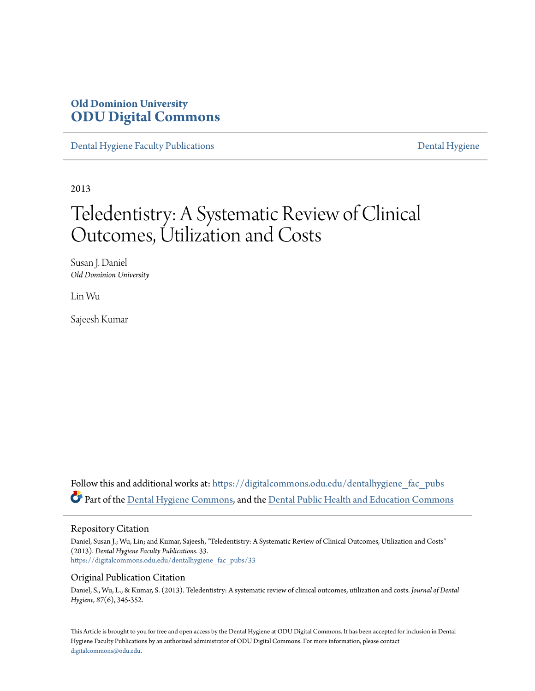# **Old Dominion University [ODU Digital Commons](https://digitalcommons.odu.edu?utm_source=digitalcommons.odu.edu%2Fdentalhygiene_fac_pubs%2F33&utm_medium=PDF&utm_campaign=PDFCoverPages)**

[Dental Hygiene Faculty Publications](https://digitalcommons.odu.edu/dentalhygiene_fac_pubs?utm_source=digitalcommons.odu.edu%2Fdentalhygiene_fac_pubs%2F33&utm_medium=PDF&utm_campaign=PDFCoverPages) [Dental Hygiene](https://digitalcommons.odu.edu/dentalhygiene?utm_source=digitalcommons.odu.edu%2Fdentalhygiene_fac_pubs%2F33&utm_medium=PDF&utm_campaign=PDFCoverPages)

2013

# Teledentistry: A Systematic Review of Clinical Outcomes, Utilization and Costs

Susan J. Daniel *Old Dominion University*

Lin Wu

Sajeesh Kumar

Follow this and additional works at: [https://digitalcommons.odu.edu/dentalhygiene\\_fac\\_pubs](https://digitalcommons.odu.edu/dentalhygiene_fac_pubs?utm_source=digitalcommons.odu.edu%2Fdentalhygiene_fac_pubs%2F33&utm_medium=PDF&utm_campaign=PDFCoverPages) Part of the [Dental Hygiene Commons,](http://network.bepress.com/hgg/discipline/1362?utm_source=digitalcommons.odu.edu%2Fdentalhygiene_fac_pubs%2F33&utm_medium=PDF&utm_campaign=PDFCoverPages) and the [Dental Public Health and Education Commons](http://network.bepress.com/hgg/discipline/653?utm_source=digitalcommons.odu.edu%2Fdentalhygiene_fac_pubs%2F33&utm_medium=PDF&utm_campaign=PDFCoverPages)

#### Repository Citation

Daniel, Susan J.; Wu, Lin; and Kumar, Sajeesh, "Teledentistry: A Systematic Review of Clinical Outcomes, Utilization and Costs" (2013). *Dental Hygiene Faculty Publications*. 33. [https://digitalcommons.odu.edu/dentalhygiene\\_fac\\_pubs/33](https://digitalcommons.odu.edu/dentalhygiene_fac_pubs/33?utm_source=digitalcommons.odu.edu%2Fdentalhygiene_fac_pubs%2F33&utm_medium=PDF&utm_campaign=PDFCoverPages)

#### Original Publication Citation

Daniel, S., Wu, L., & Kumar, S. (2013). Teledentistry: A systematic review of clinical outcomes, utilization and costs. *Journal of Dental Hygiene, 87*(6), 345-352.

This Article is brought to you for free and open access by the Dental Hygiene at ODU Digital Commons. It has been accepted for inclusion in Dental Hygiene Faculty Publications by an authorized administrator of ODU Digital Commons. For more information, please contact [digitalcommons@odu.edu.](mailto:digitalcommons@odu.edu)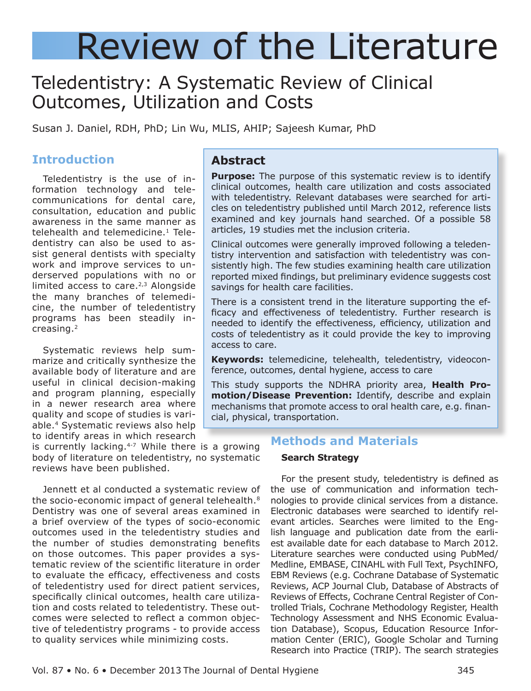# Review of the Literature

# Teledentistry: A Systematic Review of Clinical Outcomes, Utilization and Costs

Susan J. Daniel, RDH, PhD; Lin Wu, MLIS, AHIP; Sajeesh Kumar, PhD

# **Introduction**

Teledentistry is the use of information technology and telecommunications for dental care, consultation, education and public awareness in the same manner as telehealth and telemedicine.<sup>1</sup> Teledentistry can also be used to assist general dentists with specialty work and improve services to underserved populations with no or limited access to care. $2,3$  Alongside the many branches of telemedicine, the number of teledentistry programs has been steadily increasing.2

Systematic reviews help summarize and critically synthesize the available body of literature and are useful in clinical decision-making and program planning, especially in a newer research area where quality and scope of studies is variable.4 Systematic reviews also help to identify areas in which research

is currently lacking. $4-7$  While there is a growing body of literature on teledentistry, no systematic reviews have been published.

Jennett et al conducted a systematic review of the socio-economic impact of general telehealth.<sup>8</sup> Dentistry was one of several areas examined in a brief overview of the types of socio-economic outcomes used in the teledentistry studies and the number of studies demonstrating benefits on those outcomes. This paper provides a systematic review of the scientific literature in order to evaluate the efficacy, effectiveness and costs of teledentistry used for direct patient services, specifically clinical outcomes, health care utilization and costs related to teledentistry. These outcomes were selected to reflect a common objective of teledentistry programs - to provide access to quality services while minimizing costs.

### **Abstract**

**Purpose:** The purpose of this systematic review is to identify clinical outcomes, health care utilization and costs associated with teledentistry. Relevant databases were searched for articles on teledentistry published until March 2012, reference lists examined and key journals hand searched. Of a possible 58 articles, 19 studies met the inclusion criteria.

Clinical outcomes were generally improved following a teledentistry intervention and satisfaction with teledentistry was consistently high. The few studies examining health care utilization reported mixed findings, but preliminary evidence suggests cost savings for health care facilities.

There is a consistent trend in the literature supporting the efficacy and effectiveness of teledentistry. Further research is needed to identify the effectiveness, efficiency, utilization and costs of teledentistry as it could provide the key to improving access to care.

**Keywords:** telemedicine, telehealth, teledentistry, videoconference, outcomes, dental hygiene, access to care

This study supports the NDHRA priority area, **Health Promotion/Disease Prevention:** Identify, describe and explain mechanisms that promote access to oral health care, e.g. financial, physical, transportation.

## **Methods and Materials**

#### **Search Strategy**

For the present study, teledentistry is defined as the use of communication and information technologies to provide clinical services from a distance. Electronic databases were searched to identify relevant articles. Searches were limited to the English language and publication date from the earliest available date for each database to March 2012. Literature searches were conducted using PubMed/ Medline, EMBASE, CINAHL with Full Text, PsychINFO, EBM Reviews (e.g. Cochrane Database of Systematic Reviews, ACP Journal Club, Database of Abstracts of Reviews of Effects, Cochrane Central Register of Controlled Trials, Cochrane Methodology Register, Health Technology Assessment and NHS Economic Evaluation Database), Scopus, Education Resource Information Center (ERIC), Google Scholar and Turning Research into Practice (TRIP). The search strategies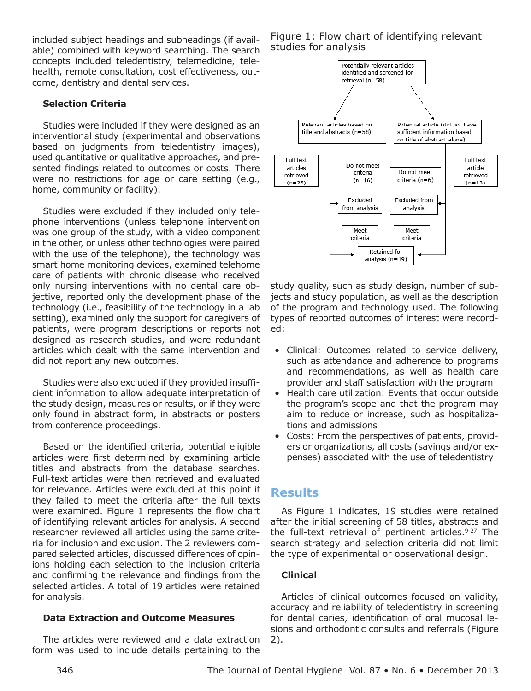included subject headings and subheadings (if available) combined with keyword searching. The search concepts included teledentistry, telemedicine, telehealth, remote consultation, cost effectiveness, outcome, dentistry and dental services.

#### **Selection Criteria**

Studies were included if they were designed as an interventional study (experimental and observations based on judgments from teledentistry images), used quantitative or qualitative approaches, and presented findings related to outcomes or costs. There were no restrictions for age or care setting (e.g., home, community or facility).

Studies were excluded if they included only telephone interventions (unless telephone intervention was one group of the study, with a video component in the other, or unless other technologies were paired with the use of the telephone), the technology was smart home monitoring devices, examined telehome care of patients with chronic disease who received only nursing interventions with no dental care objective, reported only the development phase of the technology (i.e., feasibility of the technology in a lab setting), examined only the support for caregivers of patients, were program descriptions or reports not designed as research studies, and were redundant articles which dealt with the same intervention and did not report any new outcomes.

Studies were also excluded if they provided insufficient information to allow adequate interpretation of the study design, measures or results, or if they were only found in abstract form, in abstracts or posters from conference proceedings.

Based on the identified criteria, potential eligible articles were first determined by examining article titles and abstracts from the database searches. Full-text articles were then retrieved and evaluated for relevance. Articles were excluded at this point if they failed to meet the criteria after the full texts were examined. Figure 1 represents the flow chart of identifying relevant articles for analysis. A second researcher reviewed all articles using the same criteria for inclusion and exclusion. The 2 reviewers compared selected articles, discussed differences of opinions holding each selection to the inclusion criteria and confirming the relevance and findings from the selected articles. A total of 19 articles were retained for analysis.

#### **Data Extraction and Outcome Measures**

The articles were reviewed and a data extraction form was used to include details pertaining to the

Figure 1: Flow chart of identifying relevant studies for analysis



study quality, such as study design, number of subjects and study population, as well as the description of the program and technology used. The following types of reported outcomes of interest were recorded:

- • Clinical: Outcomes related to service delivery, such as attendance and adherence to programs and recommendations, as well as health care provider and staff satisfaction with the program
- Health care utilization: Events that occur outside the program's scope and that the program may aim to reduce or increase, such as hospitalizations and admissions
- Costs: From the perspectives of patients, providers or organizations, all costs (savings and/or expenses) associated with the use of teledentistry

# **Results**

As Figure 1 indicates, 19 studies were retained after the initial screening of 58 titles, abstracts and the full-text retrieval of pertinent articles.<sup>9-27</sup> The search strategy and selection criteria did not limit the type of experimental or observational design.

#### **Clinical**

Articles of clinical outcomes focused on validity, accuracy and reliability of teledentistry in screening for dental caries, identification of oral mucosal lesions and orthodontic consults and referrals (Figure 2).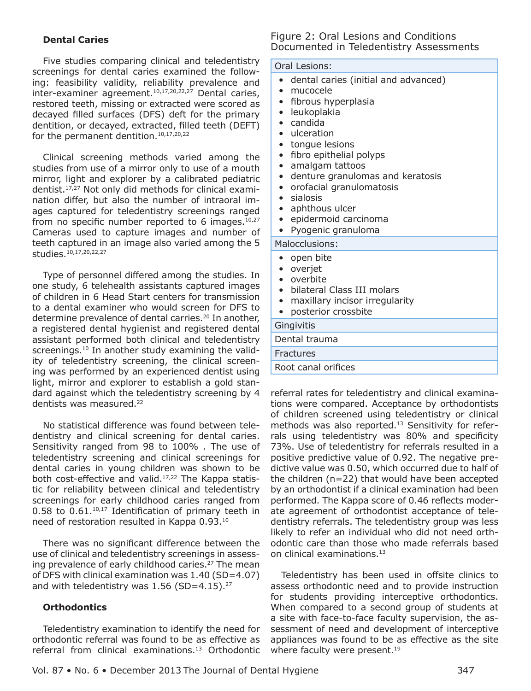#### **Dental Caries**

Five studies comparing clinical and teledentistry screenings for dental caries examined the following: feasibility validity, reliability prevalence and inter-examiner agreement.<sup>10,17,20,22,27</sup> Dental caries, restored teeth, missing or extracted were scored as decayed filled surfaces (DFS) deft for the primary dentition, or decayed, extracted, filled teeth (DEFT) for the permanent dentition.<sup>10,17,20,22</sup>

Clinical screening methods varied among the studies from use of a mirror only to use of a mouth mirror, light and explorer by a calibrated pediatric dentist.17,27 Not only did methods for clinical examination differ, but also the number of intraoral images captured for teledentistry screenings ranged from no specific number reported to 6 images. $10,27$ Cameras used to capture images and number of teeth captured in an image also varied among the 5 studies.10,17,20,22,27

Type of personnel differed among the studies. In one study, 6 telehealth assistants captured images of children in 6 Head Start centers for transmission to a dental examiner who would screen for DFS to determine prevalence of dental carries.<sup>20</sup> In another, a registered dental hygienist and registered dental assistant performed both clinical and teledentistry screenings.<sup>10</sup> In another study examining the validity of teledentistry screening, the clinical screening was performed by an experienced dentist using light, mirror and explorer to establish a gold standard against which the teledentistry screening by 4 dentists was measured.22

No statistical difference was found between teledentistry and clinical screening for dental caries. Sensitivity ranged from 98 to 100% . The use of teledentistry screening and clinical screenings for dental caries in young children was shown to be both cost-effective and valid.<sup>17,22</sup> The Kappa statistic for reliability between clinical and teledentistry screenings for early childhood caries ranged from 0.58 to 0.61.10,17 Identification of primary teeth in need of restoration resulted in Kappa 0.93.10

There was no significant difference between the use of clinical and teledentistry screenings in assessing prevalence of early childhood caries.<sup>27</sup> The mean of DFS with clinical examination was 1.40 (SD=4.07) and with teledentistry was  $1.56$  (SD=4.15).<sup>27</sup>

#### **Orthodontics**

Teledentistry examination to identify the need for orthodontic referral was found to be as effective as referral from clinical examinations.13 Orthodontic

#### Figure 2: Oral Lesions and Conditions Documented in Teledentistry Assessments

#### Oral Lesions:

- • dental caries (initial and advanced)
- mucocele
- fibrous hyperplasia
- • leukoplakia
- • candida
- • ulceration
- tonque lesions
- fibro epithelial polyps
- amalgam tattoos
- • denture granulomas and keratosis
- • orofacial granulomatosis
- sialosis
- aphthous ulcer
- epidermoid carcinoma
- Pyogenic granuloma

Malocclusions:

- open bite
- • overjet
- overbite
- bilateral Class III molars
- maxillary incisor irregularity
- posterior crossbite

# **Gingivitis**

Dental trauma

**Fractures** 

Root canal orifices

referral rates for teledentistry and clinical examinations were compared. Acceptance by orthodontists of children screened using teledentistry or clinical methods was also reported.<sup>13</sup> Sensitivity for referrals using teledentistry was 80% and specificity 73%. Use of teledentistry for referrals resulted in a positive predictive value of 0.92. The negative predictive value was 0.50, which occurred due to half of the children (n=22) that would have been accepted by an orthodontist if a clinical examination had been performed. The Kappa score of 0.46 reflects moderate agreement of orthodontist acceptance of teledentistry referrals. The teledentistry group was less likely to refer an individual who did not need orthodontic care than those who made referrals based on clinical examinations.13

Teledentistry has been used in offsite clinics to assess orthodontic need and to provide instruction for students providing interceptive orthodontics. When compared to a second group of students at a site with face-to-face faculty supervision, the assessment of need and development of interceptive appliances was found to be as effective as the site where faculty were present.<sup>19</sup>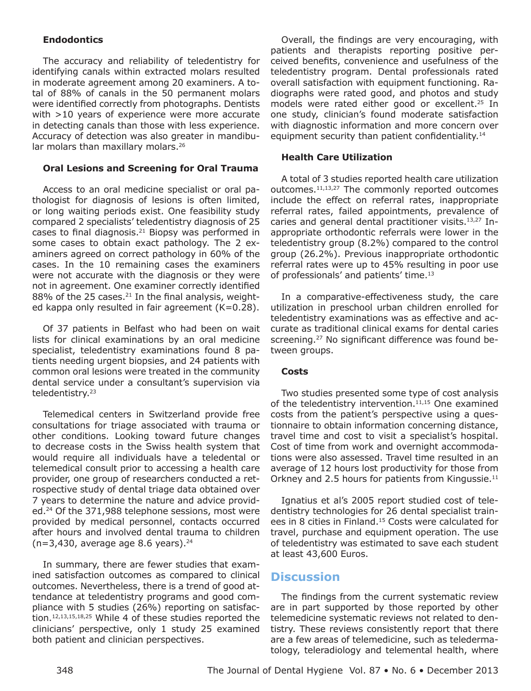#### **Endodontics**

The accuracy and reliability of teledentistry for identifying canals within extracted molars resulted in moderate agreement among 20 examiners. A total of 88% of canals in the 50 permanent molars were identified correctly from photographs. Dentists with >10 years of experience were more accurate in detecting canals than those with less experience. Accuracy of detection was also greater in mandibular molars than maxillary molars.<sup>26</sup>

#### **Oral Lesions and Screening for Oral Trauma**

Access to an oral medicine specialist or oral pathologist for diagnosis of lesions is often limited, or long waiting periods exist. One feasibility study compared 2 specialists' teledentistry diagnosis of 25 cases to final diagnosis. $21$  Biopsy was performed in some cases to obtain exact pathology. The 2 examiners agreed on correct pathology in 60% of the cases. In the 10 remaining cases the examiners were not accurate with the diagnosis or they were not in agreement. One examiner correctly identified  $88\%$  of the 25 cases.<sup>21</sup> In the final analysis, weighted kappa only resulted in fair agreement  $(K=0.28)$ .

Of 37 patients in Belfast who had been on wait lists for clinical examinations by an oral medicine specialist, teledentistry examinations found 8 patients needing urgent biopsies, and 24 patients with common oral lesions were treated in the community dental service under a consultant's supervision via teledentistry.23

Telemedical centers in Switzerland provide free consultations for triage associated with trauma or other conditions. Looking toward future changes to decrease costs in the Swiss health system that would require all individuals have a teledental or telemedical consult prior to accessing a health care provider, one group of researchers conducted a retrospective study of dental triage data obtained over 7 years to determine the nature and advice provided.24 Of the 371,988 telephone sessions, most were provided by medical personnel, contacts occurred after hours and involved dental trauma to children  $(n=3,430,$  average age 8.6 years).<sup>24</sup>

In summary, there are fewer studies that examined satisfaction outcomes as compared to clinical outcomes. Nevertheless, there is a trend of good attendance at teledentistry programs and good compliance with 5 studies (26%) reporting on satisfaction.12,13,15,18,25 While 4 of these studies reported the clinicians' perspective, only 1 study 25 examined both patient and clinician perspectives.

Overall, the findings are very encouraging, with patients and therapists reporting positive perceived benefits, convenience and usefulness of the teledentistry program. Dental professionals rated overall satisfaction with equipment functioning. Radiographs were rated good, and photos and study models were rated either good or excellent.25 In one study, clinician's found moderate satisfaction with diagnostic information and more concern over equipment security than patient confidentiality.<sup>14</sup>

#### **Health Care Utilization**

A total of 3 studies reported health care utilization outcomes.<sup>11,13,27</sup> The commonly reported outcomes include the effect on referral rates, inappropriate referral rates, failed appointments, prevalence of caries and general dental practitioner visits.13,27 Inappropriate orthodontic referrals were lower in the teledentistry group (8.2%) compared to the control group (26.2%). Previous inappropriate orthodontic referral rates were up to 45% resulting in poor use of professionals' and patients' time.<sup>13</sup>

In a comparative-effectiveness study, the care utilization in preschool urban children enrolled for teledentistry examinations was as effective and accurate as traditional clinical exams for dental caries screening.27 No significant difference was found between groups.

#### **Costs**

Two studies presented some type of cost analysis of the teledentistry intervention. $11,15$  One examined costs from the patient's perspective using a questionnaire to obtain information concerning distance, travel time and cost to visit a specialist's hospital. Cost of time from work and overnight accommodations were also assessed. Travel time resulted in an average of 12 hours lost productivity for those from Orkney and 2.5 hours for patients from Kingussie.<sup>11</sup>

Ignatius et al's 2005 report studied cost of teledentistry technologies for 26 dental specialist trainees in 8 cities in Finland.<sup>15</sup> Costs were calculated for travel, purchase and equipment operation. The use of teledentistry was estimated to save each student at least 43,600 Euros.

#### **Discussion**

The findings from the current systematic review are in part supported by those reported by other telemedicine systematic reviews not related to dentistry. These reviews consistently report that there are a few areas of telemedicine, such as teledermatology, teleradiology and telemental health, where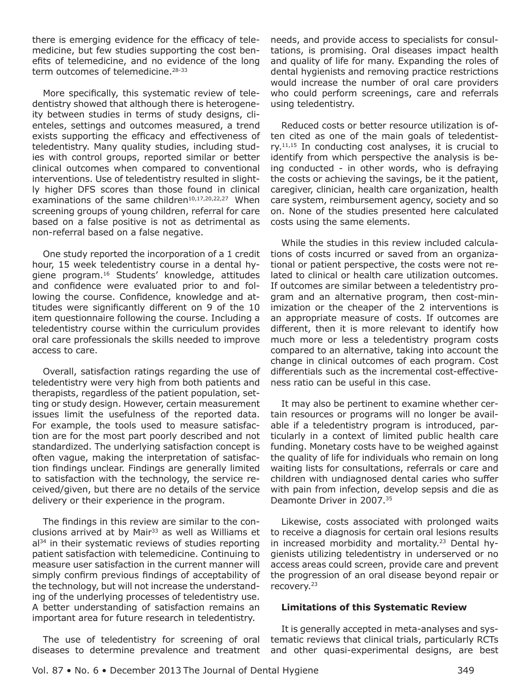there is emerging evidence for the efficacy of telemedicine, but few studies supporting the cost benefits of telemedicine, and no evidence of the long term outcomes of telemedicine.28-33

More specifically, this systematic review of teledentistry showed that although there is heterogeneity between studies in terms of study designs, clienteles, settings and outcomes measured, a trend exists supporting the efficacy and effectiveness of teledentistry. Many quality studies, including studies with control groups, reported similar or better clinical outcomes when compared to conventional interventions. Use of teledentistry resulted in slightly higher DFS scores than those found in clinical examinations of the same children<sup>10,17,20,22,27</sup> When screening groups of young children, referral for care based on a false positive is not as detrimental as non-referral based on a false negative.

One study reported the incorporation of a 1 credit hour, 15 week teledentistry course in a dental hygiene program.16 Students' knowledge, attitudes and confidence were evaluated prior to and following the course. Confidence, knowledge and attitudes were significantly different on 9 of the 10 item questionnaire following the course. Including a teledentistry course within the curriculum provides oral care professionals the skills needed to improve access to care.

Overall, satisfaction ratings regarding the use of teledentistry were very high from both patients and therapists, regardless of the patient population, setting or study design. However, certain measurement issues limit the usefulness of the reported data. For example, the tools used to measure satisfaction are for the most part poorly described and not standardized. The underlying satisfaction concept is often vague, making the interpretation of satisfaction findings unclear. Findings are generally limited to satisfaction with the technology, the service received/given, but there are no details of the service delivery or their experience in the program.

The findings in this review are similar to the conclusions arrived at by Mair<sup>33</sup> as well as Williams et  $a<sup>34</sup>$  in their systematic reviews of studies reporting patient satisfaction with telemedicine. Continuing to measure user satisfaction in the current manner will simply confirm previous findings of acceptability of the technology, but will not increase the understanding of the underlying processes of teledentistry use. A better understanding of satisfaction remains an important area for future research in teledentistry.

The use of teledentistry for screening of oral diseases to determine prevalence and treatment

needs, and provide access to specialists for consultations, is promising. Oral diseases impact health and quality of life for many. Expanding the roles of dental hygienists and removing practice restrictions would increase the number of oral care providers who could perform screenings, care and referrals using teledentistry.

Reduced costs or better resource utilization is often cited as one of the main goals of teledentist $ry<sub>11,15</sub>$  In conducting cost analyses, it is crucial to identify from which perspective the analysis is being conducted - in other words, who is defraying the costs or achieving the savings, be it the patient, caregiver, clinician, health care organization, health care system, reimbursement agency, society and so on. None of the studies presented here calculated costs using the same elements.

While the studies in this review included calculations of costs incurred or saved from an organizational or patient perspective, the costs were not related to clinical or health care utilization outcomes. If outcomes are similar between a teledentistry program and an alternative program, then cost-minimization or the cheaper of the 2 interventions is an appropriate measure of costs. If outcomes are different, then it is more relevant to identify how much more or less a teledentistry program costs compared to an alternative, taking into account the change in clinical outcomes of each program. Cost differentials such as the incremental cost-effectiveness ratio can be useful in this case.

It may also be pertinent to examine whether certain resources or programs will no longer be available if a teledentistry program is introduced, particularly in a context of limited public health care funding. Monetary costs have to be weighed against the quality of life for individuals who remain on long waiting lists for consultations, referrals or care and children with undiagnosed dental caries who suffer with pain from infection, develop sepsis and die as Deamonte Driver in 2007.35

Likewise, costs associated with prolonged waits to receive a diagnosis for certain oral lesions results in increased morbidity and mortality.<sup>23</sup> Dental hygienists utilizing teledentistry in underserved or no access areas could screen, provide care and prevent the progression of an oral disease beyond repair or recovery.23

#### **Limitations of this Systematic Review**

It is generally accepted in meta-analyses and systematic reviews that clinical trials, particularly RCTs and other quasi-experimental designs, are best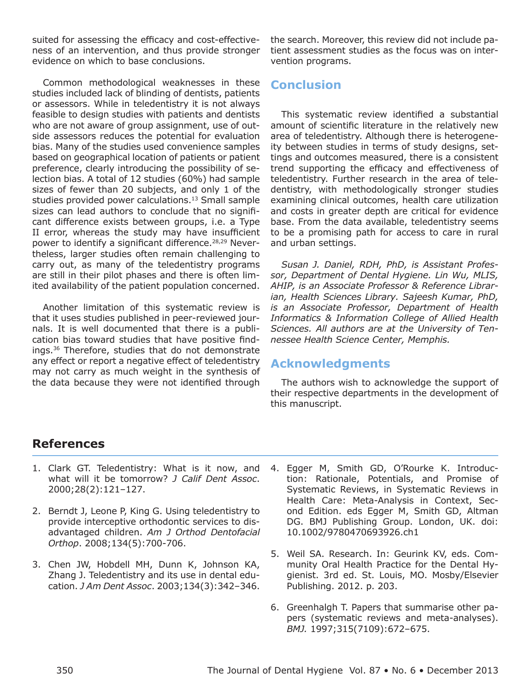suited for assessing the efficacy and cost-effectiveness of an intervention, and thus provide stronger evidence on which to base conclusions.

Common methodological weaknesses in these studies included lack of blinding of dentists, patients or assessors. While in teledentistry it is not always feasible to design studies with patients and dentists who are not aware of group assignment, use of outside assessors reduces the potential for evaluation bias. Many of the studies used convenience samples based on geographical location of patients or patient preference, clearly introducing the possibility of selection bias. A total of 12 studies (60%) had sample sizes of fewer than 20 subjects, and only 1 of the studies provided power calculations.<sup>13</sup> Small sample sizes can lead authors to conclude that no significant difference exists between groups, i.e. a Type II error, whereas the study may have insufficient power to identify a significant difference.<sup>28,29</sup> Nevertheless, larger studies often remain challenging to carry out, as many of the teledentistry programs are still in their pilot phases and there is often limited availability of the patient population concerned.

Another limitation of this systematic review is that it uses studies published in peer-reviewed journals. It is well documented that there is a publication bias toward studies that have positive findings.36 Therefore, studies that do not demonstrate any effect or report a negative effect of teledentistry may not carry as much weight in the synthesis of the data because they were not identified through the search. Moreover, this review did not include patient assessment studies as the focus was on intervention programs.

## **Conclusion**

This systematic review identified a substantial amount of scientific literature in the relatively new area of teledentistry. Although there is heterogeneity between studies in terms of study designs, settings and outcomes measured, there is a consistent trend supporting the efficacy and effectiveness of teledentistry. Further research in the area of teledentistry, with methodologically stronger studies examining clinical outcomes, health care utilization and costs in greater depth are critical for evidence base. From the data available, teledentistry seems to be a promising path for access to care in rural and urban settings.

*Susan J. Daniel, RDH, PhD, is Assistant Professor, Department of Dental Hygiene. Lin Wu, MLIS, AHIP, is an Associate Professor & Reference Librarian, Health Sciences Library. Sajeesh Kumar, PhD, is an Associate Professor, Department of Health Informatics & Information College of Allied Health Sciences. All authors are at the University of Tennessee Health Science Center, Memphis.*

# **Acknowledgments**

The authors wish to acknowledge the support of their respective departments in the development of this manuscript.

# **References**

- 1. Clark GT. Teledentistry: What is it now, and what will it be tomorrow? *J Calif Dent Assoc*. 2000;28(2):121–127.
- 2. Berndt J, Leone P, King G. Using teledentistry to provide interceptive orthodontic services to disadvantaged children. *Am J Orthod Dentofacial Orthop*. 2008;134(5):700-706.
- 3. Chen JW, Hobdell MH, Dunn K, Johnson KA, Zhang J. Teledentistry and its use in dental education. *J Am Dent Assoc*. 2003;134(3):342–346.
- 4. Egger M, Smith GD, O'Rourke K. Introduction: Rationale, Potentials, and Promise of Systematic Reviews, in Systematic Reviews in Health Care: Meta-Analysis in Context, Second Edition. eds Egger M, Smith GD, Altman DG. BMJ Publishing Group. London, UK. doi: 10.1002/9780470693926.ch1
- 5. Weil SA. Research. In: Geurink KV, eds. Community Oral Health Practice for the Dental Hygienist. 3rd ed. St. Louis, MO. Mosby/Elsevier Publishing. 2012. p. 203.
- 6. Greenhalgh T. Papers that summarise other papers (systematic reviews and meta-analyses). *BMJ.* 1997;315(7109):672–675.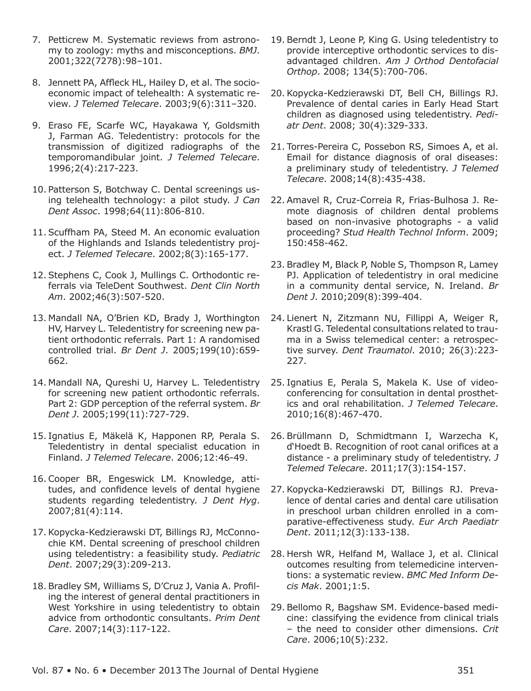- 7. Petticrew M. Systematic reviews from astronomy to zoology: myths and misconceptions. *BMJ*. 2001;322(7278):98–101.
- 8. Jennett PA, Affleck HL, Hailey D, et al. The socioeconomic impact of telehealth: A systematic review. *J Telemed Telecare*. 2003;9(6):311–320.
- 9. Eraso FE, Scarfe WC, Hayakawa Y, Goldsmith J, Farman AG. Teledentistry: protocols for the transmission of digitized radiographs of the temporomandibular joint. *J Telemed Telecare*. 1996;2(4):217-223.
- 10. Patterson S, Botchway C. Dental screenings using telehealth technology: a pilot study. *J Can Dent Assoc*. 1998;64(11):806-810.
- 11. Scuffham PA, Steed M. An economic evaluation of the Highlands and Islands teledentistry project. *J Telemed Telecare*. 2002;8(3):165-177.
- 12. Stephens C, Cook J, Mullings C. Orthodontic referrals via TeleDent Southwest. *Dent Clin North Am*. 2002;46(3):507-520.
- 13. Mandall NA, O'Brien KD, Brady J, Worthington HV, Harvey L. Teledentistry for screening new patient orthodontic referrals. Part 1: A randomised controlled trial. *Br Dent J*. 2005;199(10):659- 662.
- 14. Mandall NA, Qureshi U, Harvey L. Teledentistry for screening new patient orthodontic referrals. Part 2: GDP perception of the referral system. *Br Dent J*. 2005;199(11):727-729.
- 15. Ignatius E, Mäkelä K, Happonen RP, Perala S. Teledentistry in dental specialist education in Finland. *J Telemed Telecare*. 2006;12:46-49.
- 16. Cooper BR, Engeswick LM. Knowledge, attitudes, and confidence levels of dental hygiene students regarding teledentistry. *J Dent Hyg*. 2007;81(4):114.
- 17. Kopycka-Kedzierawski DT, Billings RJ, McConnochie KM. Dental screening of preschool children using teledentistry: a feasibility study. *Pediatric Dent*. 2007;29(3):209-213.
- 18. Bradley SM, Williams S, D'Cruz J, Vania A. Profiling the interest of general dental practitioners in West Yorkshire in using teledentistry to obtain advice from orthodontic consultants. *Prim Dent Care*. 2007;14(3):117-122.
- 19. Berndt J, Leone P, King G. Using teledentistry to provide interceptive orthodontic services to disadvantaged children. *Am J Orthod Dentofacial Orthop*. 2008; 134(5):700-706.
- 20. Kopycka-Kedzierawski DT, Bell CH, Billings RJ. Prevalence of dental caries in Early Head Start children as diagnosed using teledentistry. *Pediatr Dent*. 2008; 30(4):329-333.
- 21. Torres-Pereira C, Possebon RS, Simoes A, et al. Email for distance diagnosis of oral diseases: a preliminary study of teledentistry. *J Telemed Telecare*. 2008;14(8):435-438.
- 22. Amavel R, Cruz-Correia R, Frias-Bulhosa J. Remote diagnosis of children dental problems based on non-invasive photographs - a valid proceeding? *Stud Health Technol Inform*. 2009; 150:458-462.
- 23. Bradley M, Black P, Noble S, Thompson R, Lamey PJ. Application of teledentistry in oral medicine in a community dental service, N. Ireland. *Br Dent J*. 2010;209(8):399-404.
- 24. Lienert N, Zitzmann NU, Fillippi A, Weiger R, Krastl G. Teledental consultations related to trauma in a Swiss telemedical center: a retrospective survey. *Dent Traumatol*. 2010; 26(3):223- 227.
- 25. Ignatius E, Perala S, Makela K. Use of videoconferencing for consultation in dental prosthetics and oral rehabilitation. *J Telemed Telecare*. 2010;16(8):467-470.
- 26. Brüllmann D, Schmidtmann I, Warzecha K, d'Hoedt B. Recognition of root canal orifices at a distance - a preliminary study of teledentistry. *J Telemed Telecare*. 2011;17(3):154-157.
- 27. Kopycka-Kedzierawski DT, Billings RJ. Prevalence of dental caries and dental care utilisation in preschool urban children enrolled in a comparative-effectiveness study. *Eur Arch Paediatr Dent*. 2011;12(3):133-138.
- 28. Hersh WR, Helfand M, Wallace J, et al. Clinical outcomes resulting from telemedicine interventions: a systematic review. *BMC Med Inform Decis Mak*. 2001;1:5.
- 29. Bellomo R, Bagshaw SM. Evidence-based medicine: classifying the evidence from clinical trials – the need to consider other dimensions. *Crit Care*. 2006;10(5):232.